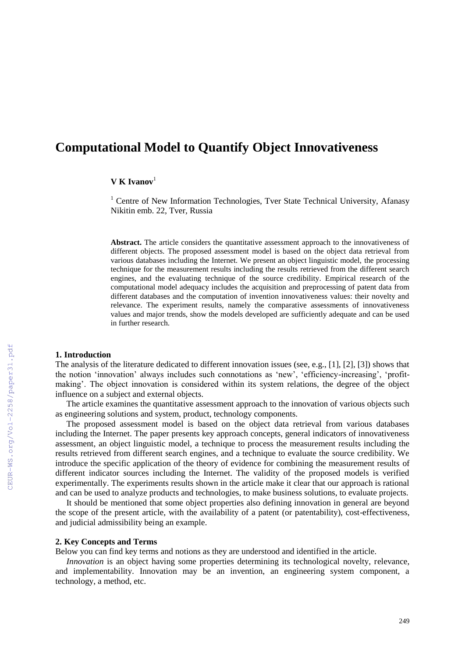# **Computational Model to Quantify Object Innovativeness**

#### $V$  **K** Ivanov<sup>1</sup>

<sup>1</sup> Centre of New Information Technologies, Tver State Technical University, Afanasy Nikitin emb. 22, Tver, Russia

**Abstract.** The article considers the quantitative assessment approach to the innovativeness of different objects. The proposed assessment model is based on the object data retrieval from various databases including the Internet. We present an object linguistic model, the processing technique for the measurement results including the results retrieved from the different search engines, and the evaluating technique of the source credibility. Empirical research of the computational model adequacy includes the acquisition and preprocessing of patent data from different databases and the computation of invention innovativeness values: their novelty and relevance. The experiment results, namely the comparative assessments of innovativeness values and major trends, show the models developed are sufficiently adequate and can be used in further research.

## **1. Introduction**

The analysis of the literature dedicated to different innovation issues (see, e.g., [1], [2], [3]) shows that the notion 'innovation' always includes such connotations as 'new', 'efficiency-increasing', 'profitmaking'. The object innovation is considered within its system relations, the degree of the object influence on a subject and external objects.

The article examines the quantitative assessment approach to the innovation of various objects such as engineering solutions and system, product, technology components.

The proposed assessment model is based on the object data retrieval from various databases including the Internet. The paper presents key approach concepts, general indicators of innovativeness assessment, an object linguistic model, a technique to process the measurement results including the results retrieved from different search engines, and a technique to evaluate the source credibility. We introduce the specific application of the theory of evidence for combining the measurement results of different indicator sources including the Internet. The validity of the proposed models is verified experimentally. The experiments results shown in the article make it clear that our approach is rational and can be used to analyze products and technologies, to make business solutions, to evaluate projects.

It should be mentioned that some object properties also defining innovation in general are beyond the scope of the present article, with the availability of a patent (or patentability), cost-effectiveness, and judicial admissibility being an example.

## **2. Key Concepts and Terms**

Below you can find key terms and notions as they are understood and identified in the article.

*Innovation* is an object having some properties determining its technological novelty, relevance, and implementability. Innovation may be an invention, an engineering system component, a technology, a method, etc.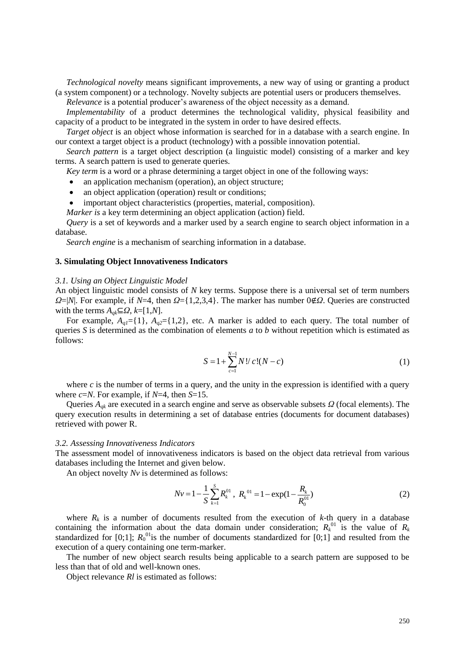*Technological novelty* means significant improvements, a new way of using or granting a product (a system component) or a technology. Novelty subjects are potential users or producers themselves.

*Relevance* is a potential producer's awareness of the object necessity as a demand.

*Implementability* of a product determines the technological validity, physical feasibility and capacity of a product to be integrated in the system in order to have desired effects.

*Target object* is an object whose information is searched for in a database with a search engine. In our context a target object is a product (technology) with a possible innovation potential.

*Search pattern* is a target object description (a linguistic model) consisting of a marker and key terms. A search pattern is used to generate queries.

*Key term* is a word or a phrase determining a target object in one of the following ways:

- an application mechanism (operation), an object structure;
- an object application (operation) result or conditions;
- important object characteristics (properties, material, composition).

*Marker is* a key term determining an object application (action) field.

*Query* is a set of keywords and a marker used by a search engine to search object information in a database.

*Search engine* is a mechanism of searching information in a database.

## **3. Simulating Object Innovativeness Indicators**

#### *3.1. Using an Object Linguistic Model*

An object linguistic model consists of *N* key terms. Suppose there is a universal set of term numbers *Ω*=|*N*|. For example, if *N*=4, then *Ω*={1,2,3,4}. The marker has number 0∉*Ω*. Queries are constructed with the terms  $A_{qk} \subseteq \Omega$ ,  $k = [1,N]$ .

For example,  $A_{q1}$ ={1},  $A_{q2}$ ={1,2}, etc. A marker is added to each query. The total number of queries *S* is determined as the combination of elements *a* to *b* without repetition which is estimated as follows:

$$
S = 1 + \sum_{c=1}^{N-1} N! / c! (N - c)
$$
 (1)

where  $c$  is the number of terms in a query, and the unity in the expression is identified with a query where *c*=*N*. For example, if *N*=4, then *S*=15.

Queries *Aqk* are executed in a search engine and serve as observable subsets *Ω* (focal elements). The query execution results in determining a set of database entries (documents for document databases) retrieved with power R.

#### *3.2. Assessing Innovativeness Indicators*

The assessment model of innovativeness indicators is based on the object data retrieval from various databases including the Internet and given below.

An object novelty *Nv* is determined as follows:

$$
Nv = 1 - \frac{1}{S} \sum_{k=1}^{S} R_k^{01}, \ R_k^{01} = 1 - \exp(1 - \frac{R_k}{R_0^{01}})
$$
 (2)

where  $R_k$  is a number of documents resulted from the execution of  $k$ -th query in a database containing the information about the data domain under consideration;  $R_k^{01}$  is the value of  $R_k$ standardized for [0;1];  $R_0^{01}$  is the number of documents standardized for [0;1] and resulted from the execution of a query containing one term-marker.

The number of new object search results being applicable to a search pattern are supposed to be less than that of old and well-known ones.

Object relevance *Rl* is estimated as follows: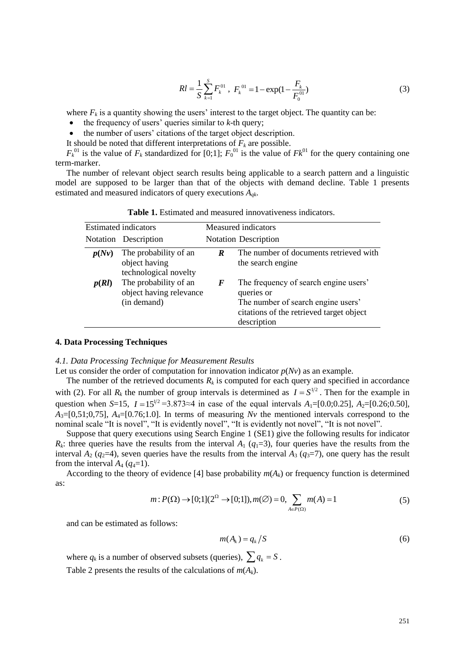$$
RI = \frac{1}{S} \sum_{k=1}^{S} F_k^{01}, \ F_k^{01} = 1 - \exp(1 - \frac{F_k}{F_0^{01}})
$$
(3)

where  $F_k$  is a quantity showing the users' interest to the target object. The quantity can be:

- $\bullet$  the frequency of users' queries similar to  $k$ -th query;
- the number of users' citations of the target object description.

It should be noted that different interpretations of  $F_k$  are possible.

 $F_k^{01}$  is the value of  $F_k$  standardized for [0;1];  $F_0^{01}$  is the value of  $F_k^{01}$  for the query containing one term-marker.

The number of relevant object search results being applicable to a search pattern and a linguistic model are supposed to be larger than that of the objects with demand decline. Table 1 presents estimated and measured indicators of query executions *Aqk*.

|                             |                                                                                                                                                                                                                                                                   |                  | $RI = \frac{1}{S} \sum_{k=1}^{S} F_k^{01}$ , $F_k^{01} = 1 - \exp(1 - \frac{F_k}{F_k^{01}})$                                                                                                                                                                                                                                                                                                                                                                                                                                                                                                                                                                                                                                                                                                                                                                                                                                                                                                                                                                                                      | (3) |
|-----------------------------|-------------------------------------------------------------------------------------------------------------------------------------------------------------------------------------------------------------------------------------------------------------------|------------------|---------------------------------------------------------------------------------------------------------------------------------------------------------------------------------------------------------------------------------------------------------------------------------------------------------------------------------------------------------------------------------------------------------------------------------------------------------------------------------------------------------------------------------------------------------------------------------------------------------------------------------------------------------------------------------------------------------------------------------------------------------------------------------------------------------------------------------------------------------------------------------------------------------------------------------------------------------------------------------------------------------------------------------------------------------------------------------------------------|-----|
| rker.                       | the frequency of users' queries similar to $k$ -th query;<br>the number of users' citations of the target object description.<br>build be noted that different interpretations of $F_k$ are possible.<br>d and measured indicators of query executions $A_{qk}$ . |                  | e $F_k$ is a quantity showing the users' interest to the target object. The quantity can be:<br>s the value of $F_k$ standardized for [0;1]; $F_0^{01}$ is the value of $Fk^{01}$ for the query containing one<br>number of relevant object search results being applicable to a search pattern and a linguistic<br>re supposed to be larger than that of the objects with demand decline. Table 1 presents                                                                                                                                                                                                                                                                                                                                                                                                                                                                                                                                                                                                                                                                                       |     |
|                             |                                                                                                                                                                                                                                                                   |                  | <b>Table 1.</b> Estimated and measured innovativeness indicators.                                                                                                                                                                                                                                                                                                                                                                                                                                                                                                                                                                                                                                                                                                                                                                                                                                                                                                                                                                                                                                 |     |
|                             | <b>Estimated indicators</b>                                                                                                                                                                                                                                       |                  | Measured indicators                                                                                                                                                                                                                                                                                                                                                                                                                                                                                                                                                                                                                                                                                                                                                                                                                                                                                                                                                                                                                                                                               |     |
|                             | Notation Description                                                                                                                                                                                                                                              |                  | <b>Notation Description</b>                                                                                                                                                                                                                                                                                                                                                                                                                                                                                                                                                                                                                                                                                                                                                                                                                                                                                                                                                                                                                                                                       |     |
| p(Nv)                       | The probability of an<br>object having<br>technological novelty                                                                                                                                                                                                   | $\boldsymbol{R}$ | The number of documents retrieved with<br>the search engine                                                                                                                                                                                                                                                                                                                                                                                                                                                                                                                                                                                                                                                                                                                                                                                                                                                                                                                                                                                                                                       |     |
| p(Rl)                       | The probability of an<br>object having relevance<br>(in demand)                                                                                                                                                                                                   | $\bm{F}$         | The frequency of search engine users'<br>queries or<br>The number of search engine users'<br>citations of the retrieved target object<br>description                                                                                                                                                                                                                                                                                                                                                                                                                                                                                                                                                                                                                                                                                                                                                                                                                                                                                                                                              |     |
| interval $A_4$ ( $q_4$ =1). |                                                                                                                                                                                                                                                                   |                  | onsider the order of computation for innovation indicator $p(Nv)$ as an example.<br>number of the retrieved documents $R_k$ is computed for each query and specified in accordance<br>For all $R_k$ the number of group intervals is determined as $I = S^{1/2}$ . Then for the example in<br>when S=15, $I = 15^{1/2} = 3.873 \approx 4$ in case of the equal intervals $A_1 = [0.0; 0.25]$ , $A_2 = [0.26; 0.50]$ ,<br>$\lfloor 0.75 \rfloor$ , $A_4 = \lfloor 0.76 \cdot 1.0 \rfloor$ . In terms of measuring Nv the mentioned intervals correspond to the<br>scale "It is novel", "It is evidently novel", "It is evidently not novel", "It is not novel".<br>ose that query executions using Search Engine 1 (SE1) give the following results for indicator<br>equeries have the results from the interval $A_1$ ( $q_1=3$ ), four queries have the results from the<br>$A_2$ ( $q_2$ =4), seven queries have the results from the interval $A_3$ ( $q_3$ =7), one query has the result<br>rding to the theory of evidence [4] base probability $m(A_k)$ or frequency function is determined |     |
|                             |                                                                                                                                                                                                                                                                   |                  | $m: P(\Omega) \rightarrow [0;1](2^{\Omega} \rightarrow [0;1]), m(\emptyset) = 0, \sum_{\Delta \subseteq \Omega} m(A) = 1$                                                                                                                                                                                                                                                                                                                                                                                                                                                                                                                                                                                                                                                                                                                                                                                                                                                                                                                                                                         | (5) |
|                             | an be estimated as follows:                                                                                                                                                                                                                                       |                  |                                                                                                                                                                                                                                                                                                                                                                                                                                                                                                                                                                                                                                                                                                                                                                                                                                                                                                                                                                                                                                                                                                   |     |
|                             |                                                                                                                                                                                                                                                                   |                  | $m(A_k) = q_k / S$                                                                                                                                                                                                                                                                                                                                                                                                                                                                                                                                                                                                                                                                                                                                                                                                                                                                                                                                                                                                                                                                                | (6) |
|                             | e $q_k$ is a number of observed subsets (queries), $\sum q_k = S$ .<br>e 2 presents the results of the calculations of $m(A_k)$ .                                                                                                                                 |                  |                                                                                                                                                                                                                                                                                                                                                                                                                                                                                                                                                                                                                                                                                                                                                                                                                                                                                                                                                                                                                                                                                                   |     |
|                             |                                                                                                                                                                                                                                                                   |                  |                                                                                                                                                                                                                                                                                                                                                                                                                                                                                                                                                                                                                                                                                                                                                                                                                                                                                                                                                                                                                                                                                                   | 251 |

**Table 1.** Estimated and measured innovativeness indicators.

#### **4. Data Processing Techniques**

## *4.1. Data Processing Technique for Measurement Results*

Let us consider the order of computation for innovation indicator  $p(Nv)$  as an example.

The number of the retrieved documents  $R_k$  is computed for each query and specified in accordance with (2). For all  $R_k$  the number of group intervals is determined as  $I = S^{1/2}$ . Then for the example in question when *S*=15,  $I = 15^{1/2} = 3.873 \approx 4$  in case of the equal intervals  $A_1 = [0.0; 0.25]$ ,  $A_2 = [0.26; 0.50]$ ,  $A_3=[0,51;0,75]$ ,  $A_4=[0.76;1.0]$ . In terms of measuring *Nv* the mentioned intervals correspond to the nominal scale "It is novel", "It is evidently novel", "It is evidently not novel", "It is not novel".

Suppose that query executions using Search Engine 1 (SE1) give the following results for indicator  $R_k$ : three queries have the results from the interval  $A_1$  ( $q_1=3$ ), four queries have the results from the interval  $A_2$  ( $q_2$ =4), seven queries have the results from the interval  $A_3$  ( $q_3$ =7), one query has the result from the interval  $A_4$  ( $q_4$ =1).

According to the theory of evidence [4] base probability  $m(A_k)$  or frequency function is determined as:

$$
m: P(\Omega) \to [0;1](2^{\Omega} \to [0;1]), m(\emptyset) = 0, \sum_{A \in P(\Omega)} m(A) = 1
$$
 (5)

and can be estimated as follows:

$$
m(A_k) = q_k / S \tag{6}
$$

where  $q_k$  is a number of observed subsets (queries),  $\sum q_k = S$ .

Table 2 presents the results of the calculations of  $m(A_k)$ .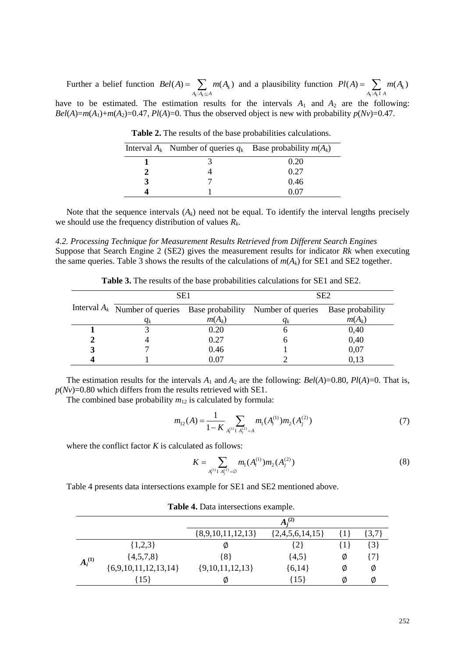Further a belief function :  $(A) = \sum m(A_k)$  $k \cdot A_k$  $A_k: A_k \subseteq A$  $Bel(A) = \sum m(A)$  $=\sum_{A_k:A_k\subseteq A} m(A_k)$  and a plausibility function :  $(A) = \sum m(A_k)$  $k \cdot A_k$  $Pl(A) = \sum_{A_k : A_k I_A} m(A_k)$ have to be estimated. The estimation results for the intervals  $A_1$  and  $A_2$  are the following: *Bel*(*A*)=*m*(*A*<sub>1</sub>)+*m*(*A*<sub>2</sub>)=0.47, *Pl*(*A*)=0. Thus the observed object is new with probability *p*(*Nv*)=0.47.

|  | Interval $A_k$ Number of queries $q_k$ Base probability $m(A_k)$ |
|--|------------------------------------------------------------------|
|  | 0.20                                                             |
|  | 0.27                                                             |
|  | 0.46                                                             |
|  | 0 07                                                             |

**Table 2.** The results of the base probabilities calculations.

Note that the sequence intervals  $(A_k)$  need not be equal. To identify the interval lengths precisely we should use the frequency distribution of values *R<sup>k</sup>* .

## *4.2. Processing Technique for Measurement Results Retrieved from Different Search Engines* Suppose that Search Engine 2 (SE2) gives the measurement results for indicator *Rk* when executing

the same queries. Table 3 shows the results of the calculations of  $m(A_k)$  for SE1 and SE2 together.

| SE <sub>1</sub> |          | SE <sub>2</sub>                                                     |                  |  |
|-----------------|----------|---------------------------------------------------------------------|------------------|--|
|                 |          | Interval $A_k$ Number of queries Base probability Number of queries | Base probability |  |
| $q_k$           | $m(A_k)$ | $q_k$                                                               | $m(A_k)$         |  |
|                 | 0.20     |                                                                     | 0,40             |  |
|                 | 0.27     | O                                                                   | 0,40             |  |
|                 | 0.46     |                                                                     | 0,07             |  |
|                 | 0.07     |                                                                     | 0,13             |  |

**Table 3.** The results of the base probabilities calculations for SE1 and SE2.

The estimation results for the intervals  $A_1$  and  $A_2$  are the following: *Bel*(*A*)=0.80, *Pl*(*A*)=0. That is,  $p(Nv)=0.80$  which differs from the results retrieved with SE1.

The combined base probability  $m_{12}$  is calculated by formula:

$$
m_{12}(A) = \frac{1}{1 - K} \sum_{A_i^{(1)} \text{I } A_j^{(2)} = A} m_1(A_i^{(1)}) m_2(A_j^{(2)})
$$
\n<sup>(7)</sup>

where the conflict factor *K* is calculated as follows:

$$
K = \sum_{A_i^{(1)} \perp A_j^{(2)} = \varnothing} m_1(A_i^{(1)}) m_2(A_j^{(2)}) \tag{8}
$$

Table 4 presents data intersections example for SE1 and SE2 mentioned above.

|             |                          |                     | $A_i^{(2)}$         |         |           |
|-------------|--------------------------|---------------------|---------------------|---------|-----------|
|             |                          | ${8,9,10,11,12,13}$ | $\{2,4,5,6,14,15\}$ | $\{1\}$ | $\{3,7\}$ |
|             | ${1,2,3}$                | Ø                   | $\{2\}$             | $\{1\}$ | $\{3\}$   |
| $A_i^{(1)}$ | $\{4,5,7,8\}$            | ${8}$               | ${4,5}$             | Ø       | 17}       |
|             | $\{6,9,10,11,12,13,14\}$ | $\{9,10,11,12,13\}$ | ${6,14}$            | Ø       | Ø         |
|             | {15}                     | Ø                   | $\left\{15\right\}$ | Ø       | Ø         |

**Table 4.** Data intersections example.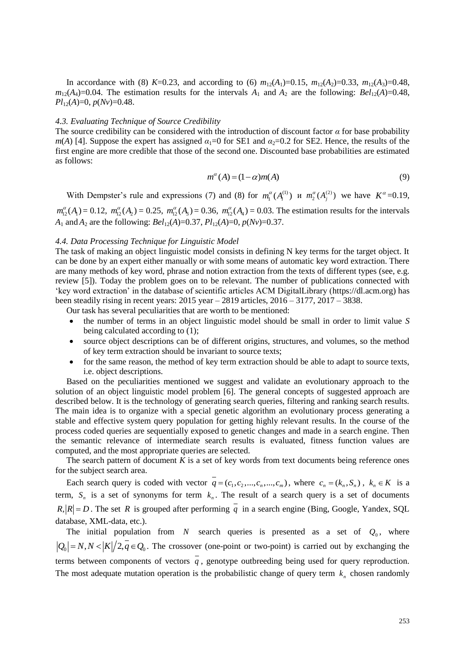In accordance with (8) *K*=0.23, and according to (6)  $m_{12}(A_1)=0.15$ ,  $m_{12}(A_2)=0.33$ ,  $m_{12}(A_3)=0.48$ ,  $m_{12}(A_4)=0.04$ . The estimation results for the intervals  $A_1$  and  $A_2$  are the following:  $Bel_{12}(A)=0.48$ , *Pl*12(*A*)=0, *p*(*Nv*)=0.48.

### *4.3. Evaluating Technique of Source Credibility*

The source credibility can be considered with the introduction of discount factor  $\alpha$  for base probability *m*(*A*) [4]. Suppose the expert has assigned  $\alpha_1=0$  for SE1 and  $\alpha_2=0.2$  for SE2. Hence, the results of the first engine are more credible that those of the second one. Discounted base probabilities are estimated as follows:

$$
m^{\alpha}(A) = (1 - \alpha)m(A) \tag{9}
$$

With Dempster's rule and expressions (7) and (8) for  $m_1^{\alpha}(A_i^{(1)})$  *u*  $m_2^{\alpha}(A_j^{(2)})$  we have  $K^{\alpha}=0.19$ ,

 $m_1^{\alpha}(A_1) = 0.12$ ,  $m_1^{\alpha}(A_2) = 0.25$ ,  $m_1^{\alpha}(A_3) = 0.36$ ,  $m_1^{\alpha}(A_4) = 0.03$ . The estimation results for the intervals *A*<sub>1</sub> and *A*<sub>2</sub> are the following: *Bel*<sub>12</sub>(*A*)=0.37, *Pl*<sub>12</sub>(*A*)=0, *p*(*Nv*)=0.37.

#### *4.4. Data Processing Technique for Linguistic Model*

The task of making an object linguistic model consists in defining N key terms for the target object. It can be done by an expert either manually or with some means of automatic key word extraction. There are many methods of key word, phrase and notion extraction from the texts of different types (see, e.g. review [5]). Today the problem goes on to be relevant. The number of publications connected with 'key word extraction' in the database of scientific articles ACM DigitalLibrary [\(https://dl.acm.org\)](https://dl.acm.org/) has been steadily rising in recent years: 2015 year – 2819 articles, 2016 – 3177, 2017 – 3838.

Our task has several peculiarities that are worth to be mentioned:

- the number of terms in an object linguistic model should be small in order to limit value *S* being calculated according to (1);
- source object descriptions can be of different origins, structures, and volumes, so the method of key term extraction should be invariant to source texts;
- for the same reason, the method of key term extraction should be able to adapt to source texts, i.e. object descriptions.

Based on the peculiarities mentioned we suggest and validate an evolutionary approach to the solution of an object linguistic model problem [6]. The general concepts of suggested approach are described below. It is the technology of generating search queries, filtering and ranking search results. The main idea is to organize with a special genetic algorithm an evolutionary process generating a stable and effective system query population for getting highly relevant results. In the course of the process coded queries are sequentially exposed to genetic changes and made in a search engine. Then the semantic relevance of intermediate search results is evaluated, fitness function values are computed, and the most appropriate queries are selected.

The search pattern of document *K* is a set of key words from text documents being reference ones for the subject search area.

Each search query is coded with vector  $q = (c_1, c_2, ..., c_n, ..., c_m)$ , where  $c_n = (k_n, S_n)$ ,  $k_n \in K$  is a term,  $S_n$  is a set of synonyms for term  $k_n$ . The result of a search query is a set of documents  $R, |R| = D$ . The set R is grouped after performing q in a search engine (Bing, Google, Yandex, SQL) database, XML-data, etc.).

The initial population from  $N$  search queries is presented as a set of  $Q_0$ , where  $Q_0 = N, N < |K|/2, \overline{q} \in Q_0$ . The crossover (one-point or two-point) is carried out by exchanging the terms between components of vectors *q* , genotype outbreeding being used for query reproduction. The most adequate mutation operation is the probabilistic change of query term  $k_n$  chosen randomly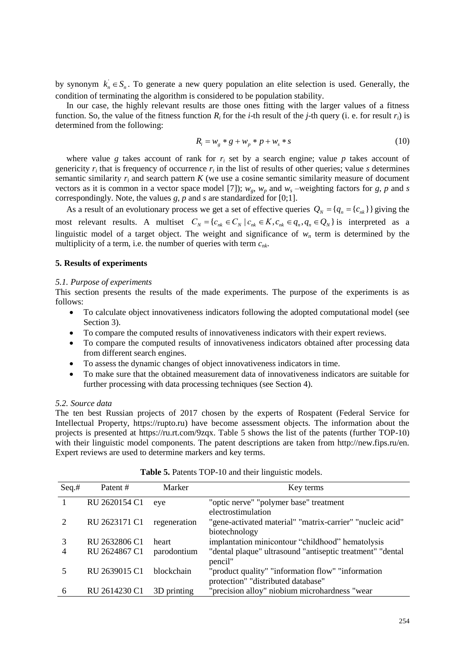by synonym  $k_n \in S_n$ . To generate a new query population an elite selection is used. Generally, the condition of terminating the algorithm is considered to be population stability.

In our case, the highly relevant results are those ones fitting with the larger values of a fitness function. So, the value of the fitness function  $R_i$  for the *i*-th result of the *j*-th query (i. e. for result  $r_i$ ) is determined from the following:

$$
R_i = w_g * g + w_p * p + w_s * s \tag{10}
$$

where value *g* takes account of rank for  $r_i$  set by a search engine; value *p* takes account of genericity  $r_i$  that is frequency of occurrence  $r_i$  in the list of results of other queries; value *s* determines semantic similarity  $r_i$  and search pattern  $K$  (we use a cosine semantic similarity measure of document vectors as it is common in a vector space model [7]);  $w_g$ ,  $w_p$  and  $w_s$  –weighting factors for *g*, *p* and *s* correspondingly. Note, the values *g*, *p* and *s* are standardized for [0;1].

As a result of an evolutionary process we get a set of effective queries  $Q_N = \{q_n = \{c_{nk}\}\}\$  giving the As a result of an evolutionary process we get a set of effective queries  $Q_N = \{q_n = \{c_{nk}\}\}\$  giving the most relevant results. A multiset  $C_N = \{c_{nk} \in C_N \mid c_{nk} \in K, c_{nk} \in q_n, q_n \in Q_N\}$  is interpreted as a linguistic model of a target object. The weight and significance of *w<sup>n</sup>* term is determined by the multiplicity of a term, i.e. the number of queries with term *cnk*.

# **5. Results of experiments**

#### *5.1. Purpose of experiments*

This section presents the results of the made experiments. The purpose of the experiments is as follows:

- To calculate object innovativeness indicators following the adopted computational model (see Section 3).
- To compare the computed results of innovativeness indicators with their expert reviews.
- To compare the computed results of innovativeness indicators obtained after processing data from different search engines.
- To assess the dynamic changes of object innovativeness indicators in time.
- To make sure that the obtained measurement data of innovativeness indicators are suitable for further processing with data processing techniques (see Section 4).

#### *5.2. Source data*

The ten best Russian projects of 2017 chosen by the experts of Rospatent (Federal Service for Intellectual Property, https://rupto.ru) have become assessment objects. The information about the projects is presented at https://ru.rt.com/9zqx. Table 5 shows the list of the patents (further TOP-10) with their linguistic model components. The patent descriptions are taken from http://new.fips.ru/en. Expert reviews are used to determine markers and key terms.

| Seq.# | Patent #      | Marker            | Key terms                                                 |
|-------|---------------|-------------------|-----------------------------------------------------------|
|       | RU 2620154 C1 | eye               | "optic nerve" "polymer base" treatment                    |
|       |               |                   | electrostimulation                                        |
|       | RU 2623171 C1 | regeneration      | "gene-activated material" "matrix-carrier" "nucleic acid" |
|       |               |                   | biotechnology                                             |
|       | RU 2632806 C1 | heart             | implantation minicontour "childhood" hematolysis          |
| 4     | RU 2624867 C1 | parodontium       | "dental plaque" ultrasound "antiseptic treatment" "dental |
|       |               |                   | pencil"                                                   |
|       | RU 2639015 C1 | <b>blockchain</b> | "product quality" "information flow" "information         |
|       |               |                   | protection" "distributed database"                        |
| 6     | RU 2614230 C1 | 3D printing       | "precision alloy" niobium microhardness "wear             |

#### **Table 5.** Patents TOP-10 and their linguistic models.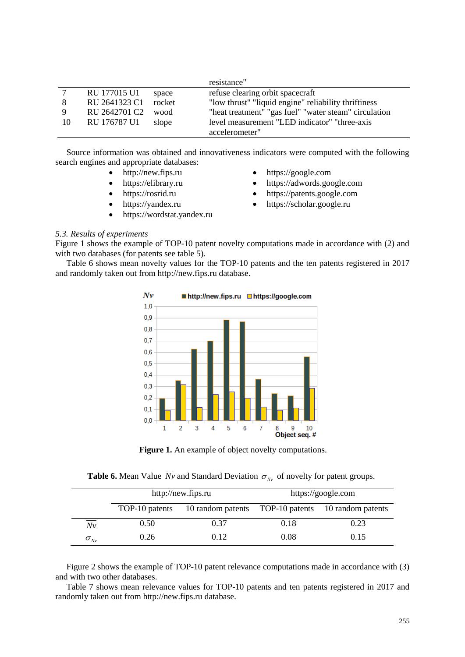|    |               |        | resistance"                                           |
|----|---------------|--------|-------------------------------------------------------|
|    | RU 177015 U1  | space  | refuse clearing orbit spacecraft                      |
| 8  | RU 2641323 C1 | rocket | "low thrust" "liquid engine" reliability thriftiness  |
|    | RU 2642701 C2 | wood   | "heat treatment" "gas fuel" "water steam" circulation |
| 10 | RU 176787 U1  | slope  | level measurement "LED indicator" "three-axis         |
|    |               |        | accelerometer"                                        |

Source information was obtained and innovativeness indicators were computed with the following search engines and appropriate databases:

- http://new.fips.ru
- https://elibrary.ru
- https://rosrid.ru
- https://yandex.ru
- https://wordstat.yandex.ru
- https://google.com
- https://adwords.google.com
- https://patents.google.com
- https://scholar.google.ru

## *5.3. Results of experiments*

Figure 1 shows the example of TOP-10 patent novelty computations made in accordance with (2) and with two databases (for patents see table 5).

Table 6 shows mean novelty values for the TOP-10 patents and the ten patents registered in 2017 and randomly taken out from http://new.fips.ru database.



**Figure 1.** An example of object novelty computations.

|  |  | <b>Table 6.</b> Mean Value Nv and Standard Deviation $\sigma_{Nv}$ of novelty for patent groups. |  |  |  |  |  |
|--|--|--------------------------------------------------------------------------------------------------|--|--|--|--|--|
|--|--|--------------------------------------------------------------------------------------------------|--|--|--|--|--|

|               |                | http://new.fips.ru               | https://google.com |                   |  |
|---------------|----------------|----------------------------------|--------------------|-------------------|--|
|               | TOP-10 patents | 10 random patents TOP-10 patents |                    | 10 random patents |  |
| ___<br>Nv     | 0.50           | 0.37                             | 0.18               | 0.23              |  |
| $\sigma_{Nv}$ | 0.26           | 0.12                             | 0.08               | 0.15              |  |

Figure 2 shows the example of TOP-10 patent relevance computations made in accordance with (3) and with two other databases.

Table 7 shows mean relevance values for TOP-10 patents and ten patents registered in 2017 and randomly taken out from http://new.fips.ru database.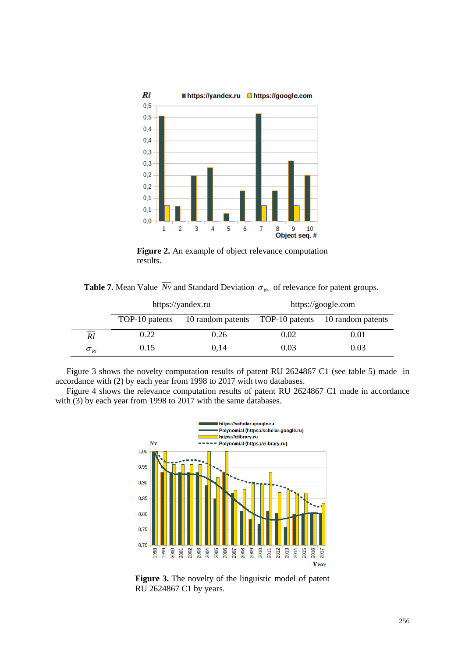

**Figure 2.** An example of object relevance computation results.

**Table 7.** Mean Value *Nv* and Standard Deviation  $\sigma_{N_v}$  of relevance for patent groups.

|                                   |                | https://yandex.ru                                  | https://google.com |      |  |
|-----------------------------------|----------------|----------------------------------------------------|--------------------|------|--|
|                                   | TOP-10 patents | 10 random patents TOP-10 patents 10 random patents |                    |      |  |
| _____<br>Rl                       | 0.22           | 0.26                                               | 0.02               | 0.01 |  |
| $\sigma_{\scriptscriptstyle{RI}}$ | 0.15           | 0.14                                               | 0.03               | 0.03 |  |

Figure 3 shows the novelty computation results of patent RU 2624867 C1 (see table 5) made in accordance with (2) by each year from 1998 to 2017 with two databases.

Figure 4 shows the relevance computation results of patent RU 2624867 C1 made in accordance with (3) by each year from 1998 to 2017 with the same databases.



**Figure 3.** The novelty of the linguistic model of patent RU 2624867 C1 by years.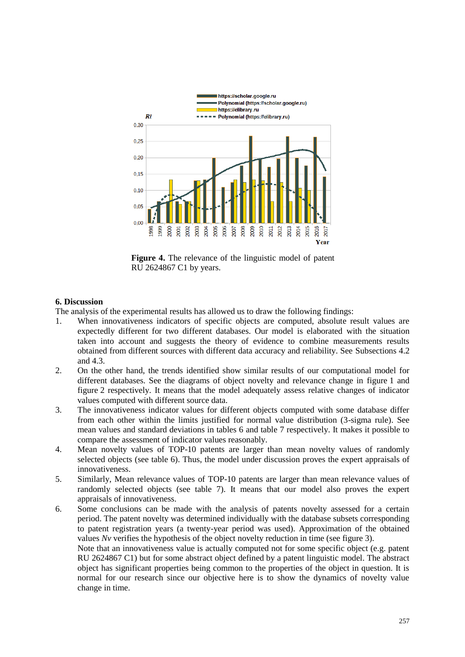

**Figure 4.** The relevance of the linguistic model of patent RU 2624867 C1 by years.

# **6. Discussion**

The analysis of the experimental results has allowed us to draw the following findings:

- 1. When innovativeness indicators of specific objects are computed, absolute result values are expectedly different for two different databases. Our model is elaborated with the situation taken into account and suggests the theory of evidence to combine measurements results obtained from different sources with different data accuracy and reliability. See Subsections 4.2 and 4.3.
- 2. On the other hand, the trends identified show similar results of our computational model for different databases. See the diagrams of object novelty and relevance change in figure 1 and figure 2 respectively. It means that the model adequately assess relative changes of indicator values computed with different source data.
- 3. The innovativeness indicator values for different objects computed with some database differ from each other within the limits justified for normal value distribution (3-sigma rule). See mean values and standard deviations in tables 6 and table 7 respectively. It makes it possible to compare the assessment of indicator values reasonably.
- 4. Mean novelty values of TOP-10 patents are larger than mean novelty values of randomly selected objects (see table 6). Thus, the model under discussion proves the expert appraisals of innovativeness.
- 5. Similarly, Mean relevance values of TOP-10 patents are larger than mean relevance values of randomly selected objects (see table 7). It means that our model also proves the expert appraisals of innovativeness.
- 6. Some conclusions can be made with the analysis of patents novelty assessed for a certain period. The patent novelty was determined individually with the database subsets corresponding to patent registration years (a twenty-year period was used). Approximation of the obtained values *Nv* verifies the hypothesis of the object novelty reduction in time (see figure 3).

Note that an innovativeness value is actually computed not for some specific object (e.g. patent RU 2624867 C1) but for some abstract object defined by a patent linguistic model. The abstract object has significant properties being common to the properties of the object in question. It is normal for our research since our objective here is to show the dynamics of novelty value change in time.